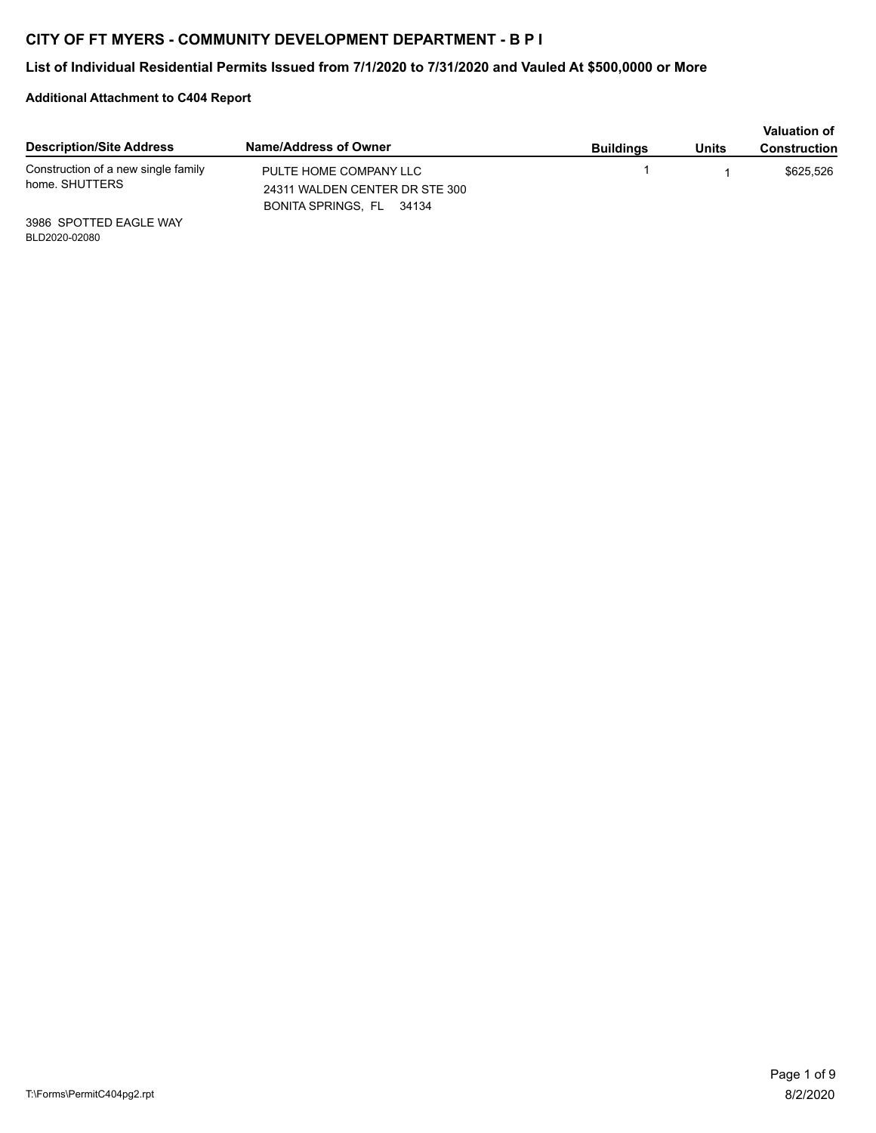## **CITY OF FT MYERS - COMMUNITY DEVELOPMENT DEPARTMENT - B P I**

## **List of Individual Residential Permits Issued from 7/1/2020 to 7/31/2020 and Vauled At \$500,0000 or More**

## **Additional Attachment to C404 Report**

| <b>Description/Site Address</b>                       | Name/Address of Owner          | <b>Buildings</b> | Units | <b>Valuation of</b><br><b>Construction</b> |
|-------------------------------------------------------|--------------------------------|------------------|-------|--------------------------------------------|
| Construction of a new single family<br>home. SHUTTERS | PULTE HOME COMPANY LLC         |                  |       | \$625.526                                  |
|                                                       | 24311 WALDEN CENTER DR STE 300 |                  |       |                                            |
|                                                       | BONITA SPRINGS, FL 34134       |                  |       |                                            |
| 3986 SPOTTED EAGLE WAY                                |                                |                  |       |                                            |

BLD2020-02080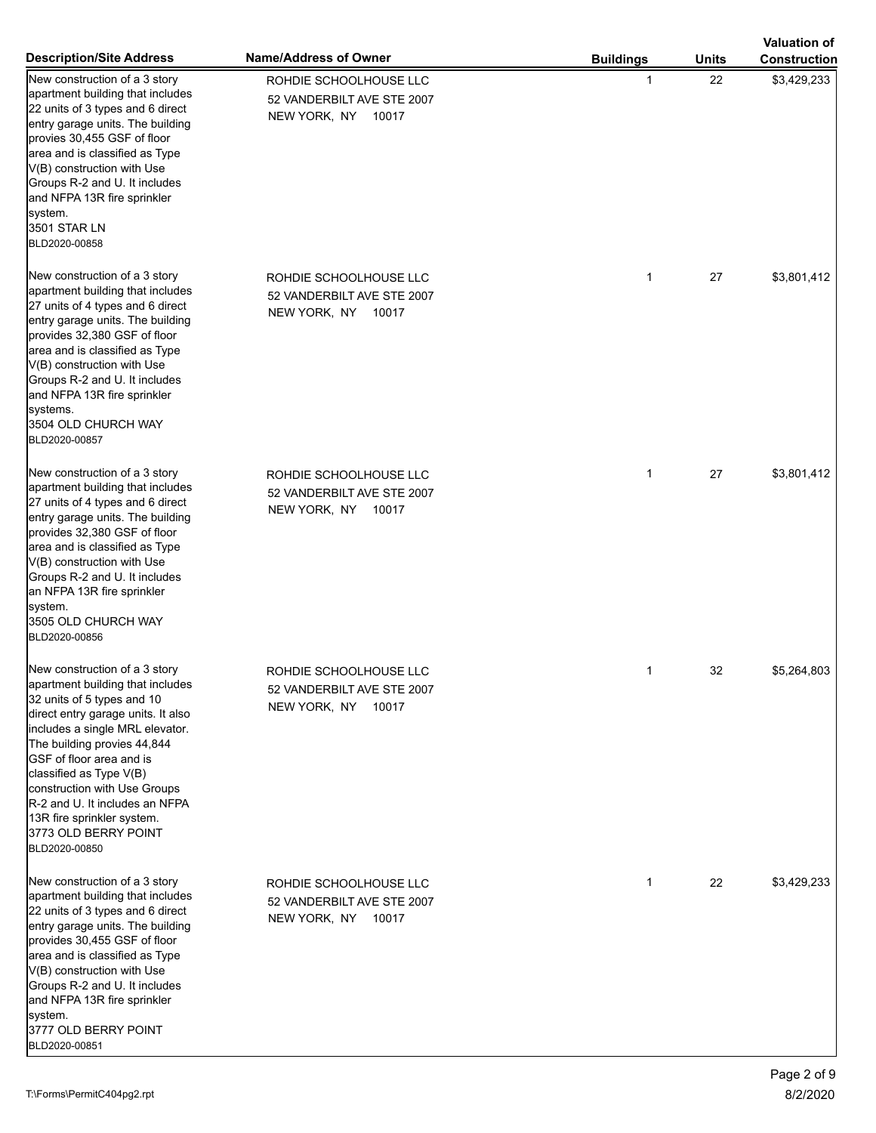|                                                                                                                                                                                                                                                                                                                                                                                                                |                                                                            |                  |              | <b>Valuation of</b> |
|----------------------------------------------------------------------------------------------------------------------------------------------------------------------------------------------------------------------------------------------------------------------------------------------------------------------------------------------------------------------------------------------------------------|----------------------------------------------------------------------------|------------------|--------------|---------------------|
| <b>Description/Site Address</b>                                                                                                                                                                                                                                                                                                                                                                                | Name/Address of Owner                                                      | <b>Buildings</b> | <b>Units</b> | <b>Construction</b> |
| New construction of a 3 story<br>apartment building that includes<br>22 units of 3 types and 6 direct<br>entry garage units. The building<br>provies 30,455 GSF of floor<br>area and is classified as Type<br>V(B) construction with Use<br>Groups R-2 and U. It includes<br>and NFPA 13R fire sprinkler<br>system.<br>3501 STAR LN<br>BLD2020-00858                                                           | ROHDIE SCHOOLHOUSE LLC<br>52 VANDERBILT AVE STE 2007<br>NEW YORK, NY 10017 | 1                | 22           | \$3,429,233         |
| New construction of a 3 story<br>apartment building that includes<br>27 units of 4 types and 6 direct<br>entry garage units. The building<br>provides 32,380 GSF of floor<br>area and is classified as Type<br>V(B) construction with Use<br>Groups R-2 and U. It includes<br>and NFPA 13R fire sprinkler<br>systems.<br>3504 OLD CHURCH WAY<br>BLD2020-00857                                                  | ROHDIE SCHOOLHOUSE LLC<br>52 VANDERBILT AVE STE 2007<br>NEW YORK, NY 10017 | $\mathbf 1$      | 27           | \$3,801,412         |
| New construction of a 3 story<br>apartment building that includes<br>27 units of 4 types and 6 direct<br>entry garage units. The building<br>provides 32,380 GSF of floor<br>area and is classified as Type<br>V(B) construction with Use<br>Groups R-2 and U. It includes<br>an NFPA 13R fire sprinkler<br>system.<br>3505 OLD CHURCH WAY<br>BLD2020-00856                                                    | ROHDIE SCHOOLHOUSE LLC<br>52 VANDERBILT AVE STE 2007<br>NEW YORK, NY 10017 | 1                | 27           | \$3,801,412         |
| New construction of a 3 story<br>apartment building that includes<br>32 units of 5 types and 10<br>direct entry garage units. It also<br>includes a single MRL elevator.<br>The building provies 44,844<br>GSF of floor area and is<br>classified as Type V(B)<br>construction with Use Groups<br><b>R-2</b> and U. It includes an NFPA<br>13R fire sprinkler system.<br>3773 OLD BERRY POINT<br>BLD2020-00850 | ROHDIE SCHOOLHOUSE LLC<br>52 VANDERBILT AVE STE 2007<br>NEW YORK, NY 10017 | 1                | 32           | \$5,264,803         |
| New construction of a 3 story<br>apartment building that includes<br>22 units of 3 types and 6 direct<br>entry garage units. The building<br>provides 30,455 GSF of floor<br>area and is classified as Type<br>V(B) construction with Use<br>Groups R-2 and U. It includes<br>and NFPA 13R fire sprinkler<br>system.<br>3777 OLD BERRY POINT<br>BLD2020-00851                                                  | ROHDIE SCHOOLHOUSE LLC<br>52 VANDERBILT AVE STE 2007<br>NEW YORK, NY 10017 | $\mathbf 1$      | 22           | \$3,429,233         |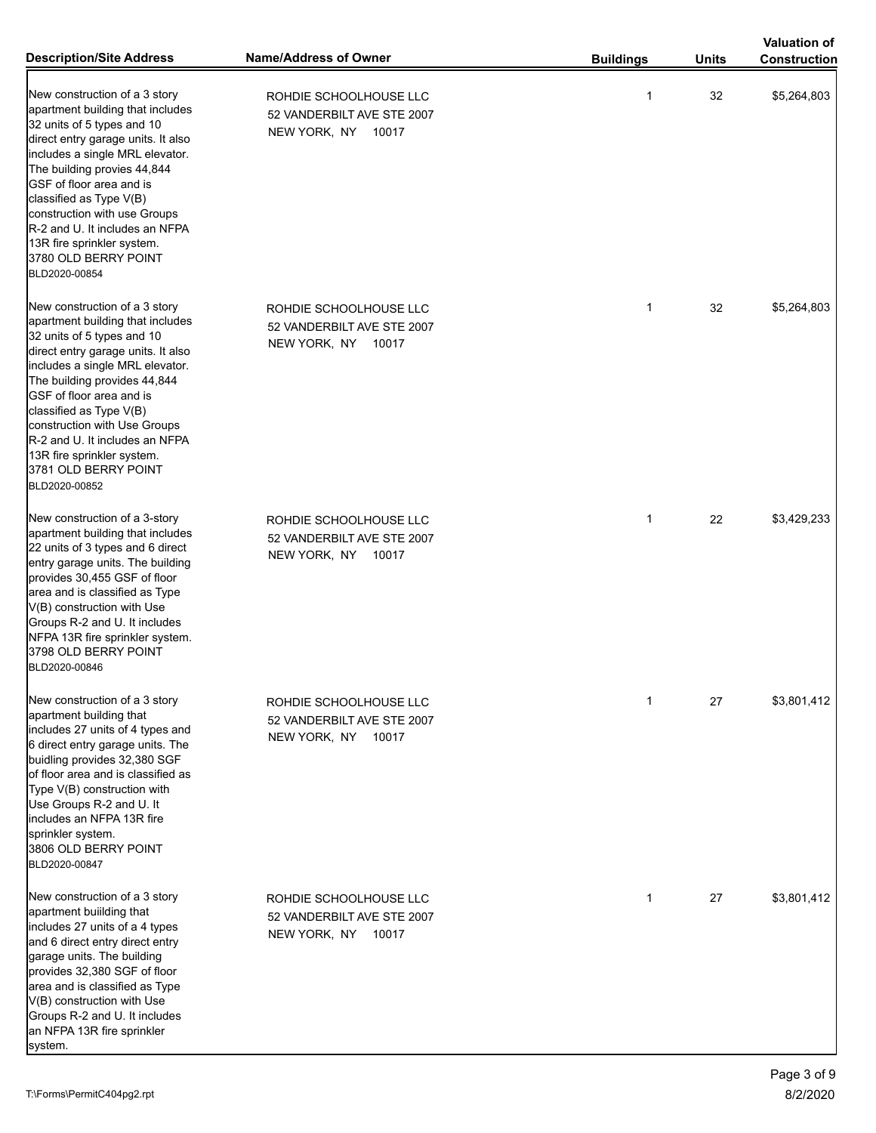|                                                                                                                                                                                                                                                                                                                                                                                                          |                                                                            |                  |              | <b>Valuation of</b> |
|----------------------------------------------------------------------------------------------------------------------------------------------------------------------------------------------------------------------------------------------------------------------------------------------------------------------------------------------------------------------------------------------------------|----------------------------------------------------------------------------|------------------|--------------|---------------------|
| <b>Description/Site Address</b>                                                                                                                                                                                                                                                                                                                                                                          | <b>Name/Address of Owner</b>                                               | <b>Buildings</b> | <b>Units</b> | <b>Construction</b> |
| New construction of a 3 story<br>apartment building that includes<br>32 units of 5 types and 10<br>direct entry garage units. It also<br>includes a single MRL elevator.<br>The building provies 44,844<br>GSF of floor area and is<br>classified as Type V(B)<br>construction with use Groups<br>R-2 and U. It includes an NFPA<br>13R fire sprinkler system.<br>3780 OLD BERRY POINT<br>BLD2020-00854  | ROHDIE SCHOOLHOUSE LLC<br>52 VANDERBILT AVE STE 2007<br>NEW YORK, NY 10017 | 1                | 32           | \$5,264,803         |
| New construction of a 3 story<br>apartment building that includes<br>32 units of 5 types and 10<br>direct entry garage units. It also<br>includes a single MRL elevator.<br>The building provides 44,844<br>GSF of floor area and is<br>classified as Type V(B)<br>construction with Use Groups<br>R-2 and U. It includes an NFPA<br>13R fire sprinkler system.<br>3781 OLD BERRY POINT<br>BLD2020-00852 | ROHDIE SCHOOLHOUSE LLC<br>52 VANDERBILT AVE STE 2007<br>NEW YORK, NY 10017 | $\mathbf{1}$     | 32           | \$5,264,803         |
| New construction of a 3-story<br>apartment building that includes<br>22 units of 3 types and 6 direct<br>entry garage units. The building<br>provides 30,455 GSF of floor<br>area and is classified as Type<br>V(B) construction with Use<br>Groups R-2 and U. It includes<br>NFPA 13R fire sprinkler system.<br>3798 OLD BERRY POINT<br>BLD2020-00846                                                   | ROHDIE SCHOOLHOUSE LLC<br>52 VANDERBILT AVE STE 2007<br>NEW YORK, NY 10017 | $\mathbf{1}$     | 22           | \$3,429,233         |
| New construction of a 3 story<br>apartment building that<br>includes 27 units of 4 types and<br>6 direct entry garage units. The<br>buidling provides 32,380 SGF<br>of floor area and is classified as<br>Type V(B) construction with<br>Use Groups R-2 and U. It<br>includes an NFPA 13R fire<br>sprinkler system.<br>3806 OLD BERRY POINT<br>BLD2020-00847                                             | ROHDIE SCHOOLHOUSE LLC<br>52 VANDERBILT AVE STE 2007<br>NEW YORK, NY 10017 | 1                | 27           | \$3,801,412         |
| New construction of a 3 story<br>apartment building that<br>includes 27 units of a 4 types<br>and 6 direct entry direct entry<br>garage units. The building<br>provides 32,380 SGF of floor<br>area and is classified as Type<br>V(B) construction with Use<br>Groups R-2 and U. It includes<br>an NFPA 13R fire sprinkler                                                                               | ROHDIE SCHOOLHOUSE LLC<br>52 VANDERBILT AVE STE 2007<br>NEW YORK, NY 10017 | $\mathbf{1}$     | 27           | \$3,801,412         |

system.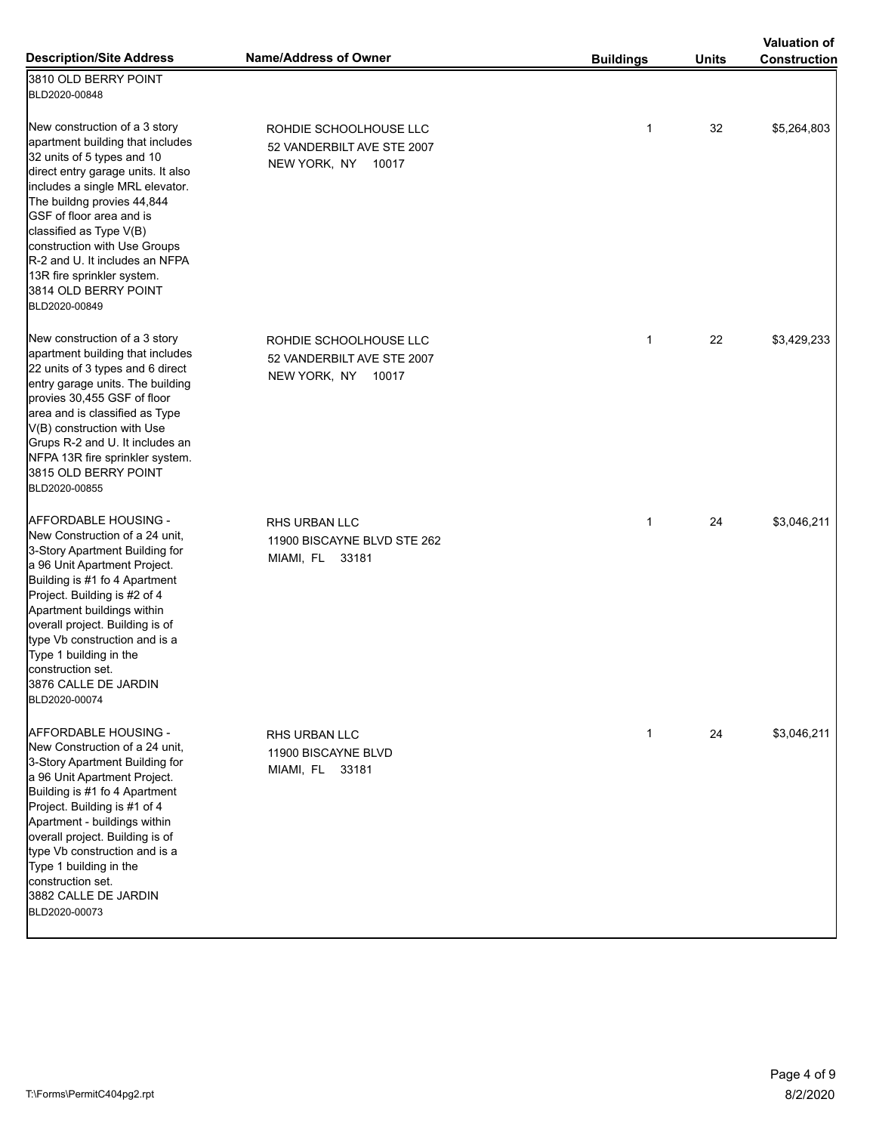|                                                                                                                                                                                                                                                                                                                                                                                                        |                                                                            |                  |              | <b>Valuation of</b> |
|--------------------------------------------------------------------------------------------------------------------------------------------------------------------------------------------------------------------------------------------------------------------------------------------------------------------------------------------------------------------------------------------------------|----------------------------------------------------------------------------|------------------|--------------|---------------------|
| <b>Description/Site Address</b>                                                                                                                                                                                                                                                                                                                                                                        | <b>Name/Address of Owner</b>                                               | <b>Buildings</b> | <b>Units</b> | <b>Construction</b> |
| 3810 OLD BERRY POINT<br>BLD2020-00848                                                                                                                                                                                                                                                                                                                                                                  |                                                                            |                  |              |                     |
| New construction of a 3 story<br>apartment building that includes<br>32 units of 5 types and 10<br>direct entry garage units. It also<br>includes a single MRL elevator.<br>The buildng provies 44,844<br>GSF of floor area and is<br>classified as Type V(B)<br>construction with Use Groups<br>R-2 and U. It includes an NFPA<br>13R fire sprinkler system.<br>3814 OLD BERRY POINT<br>BLD2020-00849 | ROHDIE SCHOOLHOUSE LLC<br>52 VANDERBILT AVE STE 2007<br>NEW YORK, NY 10017 | $\mathbf{1}$     | 32           | \$5,264,803         |
| New construction of a 3 story<br>apartment building that includes<br>22 units of 3 types and 6 direct<br>entry garage units. The building<br>provies 30,455 GSF of floor<br>area and is classified as Type<br>V(B) construction with Use<br>Grups R-2 and U. It includes an<br>NFPA 13R fire sprinkler system.<br>3815 OLD BERRY POINT<br>BLD2020-00855                                                | ROHDIE SCHOOLHOUSE LLC<br>52 VANDERBILT AVE STE 2007<br>NEW YORK, NY 10017 | $\mathbf{1}$     | 22           | \$3,429,233         |
| AFFORDABLE HOUSING -<br>New Construction of a 24 unit,<br>3-Story Apartment Building for<br>a 96 Unit Apartment Project.<br>Building is #1 fo 4 Apartment<br>Project. Building is #2 of 4<br>Apartment buildings within<br>overall project. Building is of<br>type Vb construction and is a<br>Type 1 building in the<br>construction set.<br>3876 CALLE DE JARDIN<br>BLD2020-00074                    | RHS URBAN LLC<br>11900 BISCAYNE BLVD STE 262<br>MIAMI, FL 33181            | $\mathbf{1}$     | 24           | \$3,046,211         |
| AFFORDABLE HOUSING -<br>New Construction of a 24 unit.<br>3-Story Apartment Building for<br>a 96 Unit Apartment Project.<br>Building is #1 fo 4 Apartment<br>Project. Building is #1 of 4<br>Apartment - buildings within<br>overall project. Building is of<br>type Vb construction and is a<br>Type 1 building in the<br>construction set.<br>3882 CALLE DE JARDIN<br>BLD2020-00073                  | RHS URBAN LLC<br>11900 BISCAYNE BLVD<br>MIAMI, FL 33181                    | $\mathbf{1}$     | 24           | \$3,046,211         |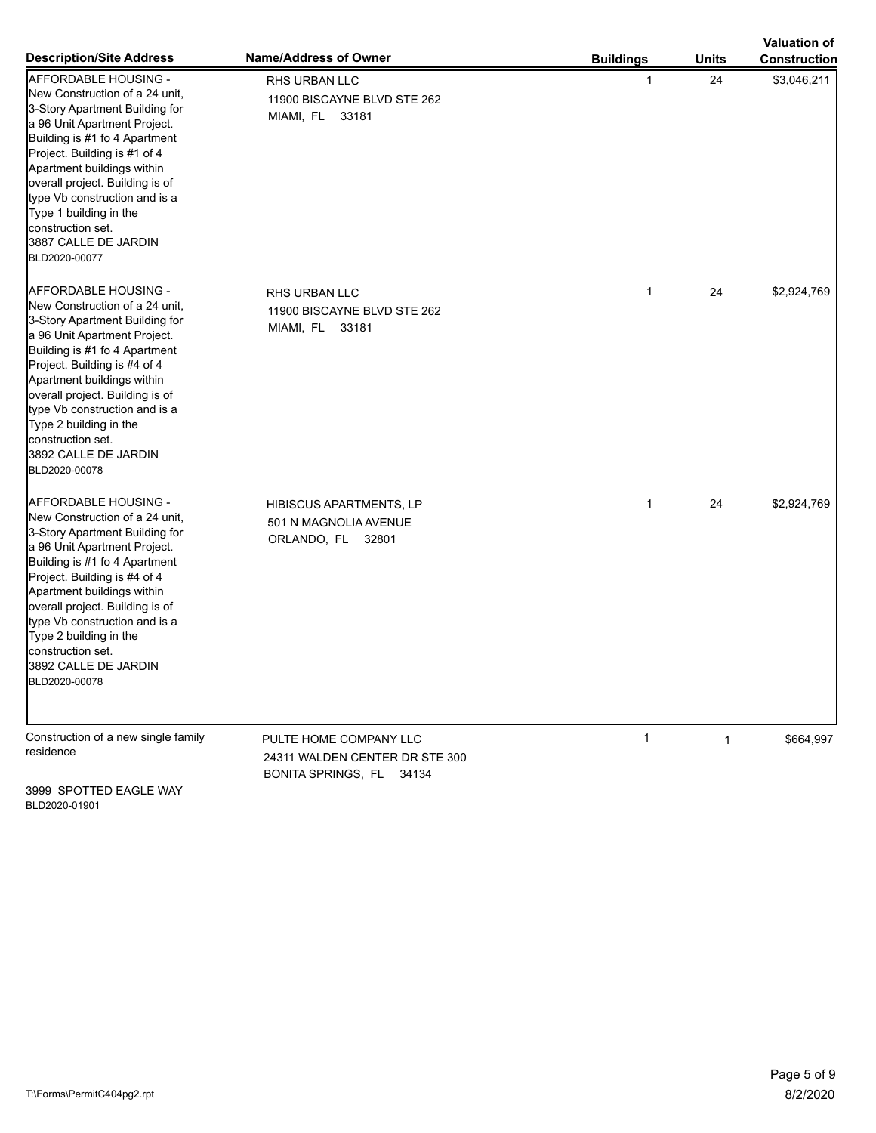|                                                                                                                                                                                                                                                                                                                                                                                            |                                                                                      |                  |              | <b>Valuation of</b> |
|--------------------------------------------------------------------------------------------------------------------------------------------------------------------------------------------------------------------------------------------------------------------------------------------------------------------------------------------------------------------------------------------|--------------------------------------------------------------------------------------|------------------|--------------|---------------------|
| <b>Description/Site Address</b>                                                                                                                                                                                                                                                                                                                                                            | Name/Address of Owner                                                                | <b>Buildings</b> | <b>Units</b> | <b>Construction</b> |
| <b>AFFORDABLE HOUSING -</b><br>New Construction of a 24 unit,<br>3-Story Apartment Building for<br>a 96 Unit Apartment Project.<br>Building is #1 fo 4 Apartment<br>Project. Building is #1 of 4<br>Apartment buildings within<br>overall project. Building is of<br>type Vb construction and is a<br>Type 1 building in the<br>construction set.<br>3887 CALLE DE JARDIN<br>BLD2020-00077 | RHS URBAN LLC<br>11900 BISCAYNE BLVD STE 262<br>MIAMI, FL 33181                      | 1                | 24           | \$3,046,211         |
| <b>AFFORDABLE HOUSING -</b><br>New Construction of a 24 unit,<br>3-Story Apartment Building for<br>a 96 Unit Apartment Project.<br>Building is #1 fo 4 Apartment<br>Project. Building is #4 of 4<br>Apartment buildings within<br>overall project. Building is of<br>type Vb construction and is a<br>Type 2 building in the<br>construction set.<br>3892 CALLE DE JARDIN<br>BLD2020-00078 | RHS URBAN LLC<br>11900 BISCAYNE BLVD STE 262<br>MIAMI, FL 33181                      | $\mathbf{1}$     | 24           | \$2,924,769         |
| AFFORDABLE HOUSING -<br>New Construction of a 24 unit,<br>3-Story Apartment Building for<br>a 96 Unit Apartment Project.<br>Building is #1 fo 4 Apartment<br>Project. Building is #4 of 4<br>Apartment buildings within<br>overall project. Building is of<br>type Vb construction and is a<br>Type 2 building in the<br>construction set.<br>3892 CALLE DE JARDIN<br>BLD2020-00078        | <b>HIBISCUS APARTMENTS, LP</b><br>501 N MAGNOLIA AVENUE<br>ORLANDO, FL 32801         | $\mathbf{1}$     | 24           | \$2,924,769         |
| Construction of a new single family<br>residence                                                                                                                                                                                                                                                                                                                                           | PULTE HOME COMPANY LLC<br>24311 WALDEN CENTER DR STE 300<br>BONITA SPRINGS, FL 34134 | $\mathbf{1}$     | $\mathbf{1}$ | \$664,997           |

3999 SPOTTED EAGLE WAY BLD2020-01901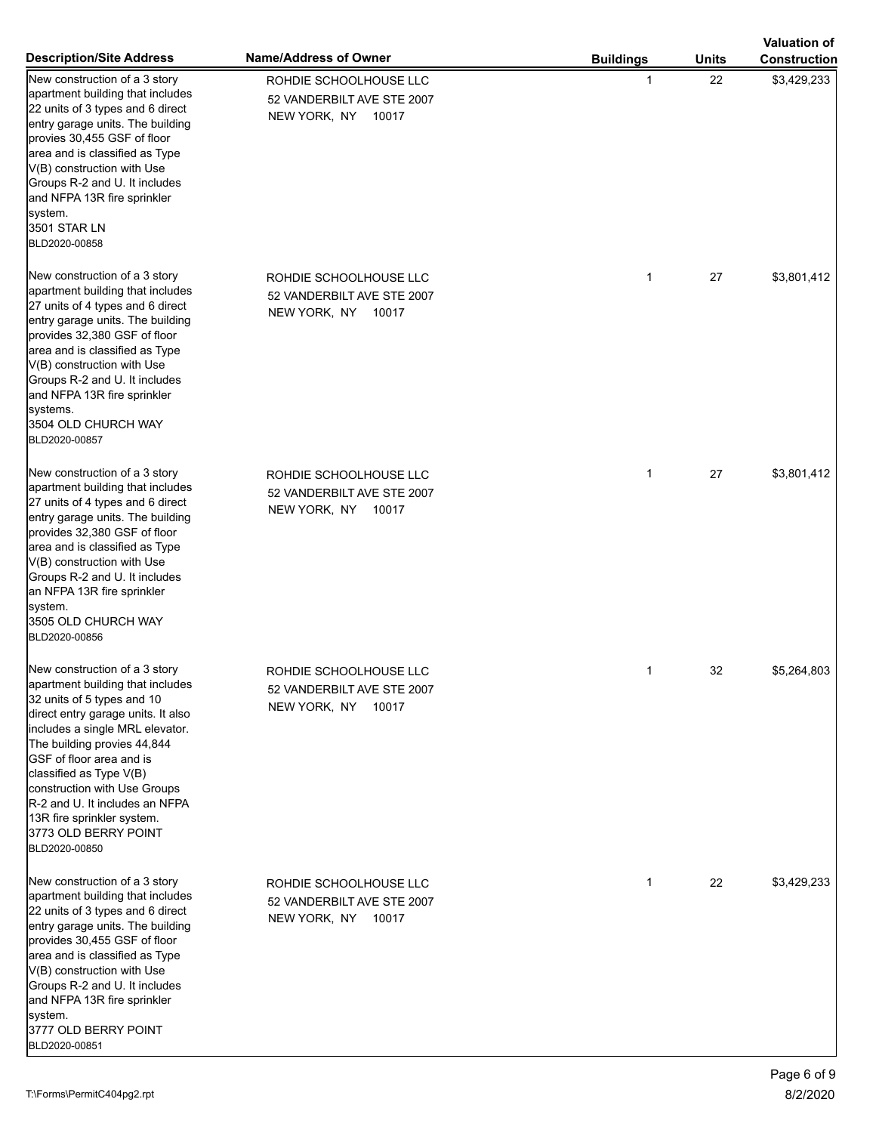|                                                                                                                                                                                                                                                                                                                                                                                                                |                                                                            |                  |              | <b>Valuation of</b> |
|----------------------------------------------------------------------------------------------------------------------------------------------------------------------------------------------------------------------------------------------------------------------------------------------------------------------------------------------------------------------------------------------------------------|----------------------------------------------------------------------------|------------------|--------------|---------------------|
| <b>Description/Site Address</b>                                                                                                                                                                                                                                                                                                                                                                                | Name/Address of Owner                                                      | <b>Buildings</b> | <b>Units</b> | <b>Construction</b> |
| New construction of a 3 story<br>apartment building that includes<br>22 units of 3 types and 6 direct<br>entry garage units. The building<br>provies 30,455 GSF of floor<br>area and is classified as Type<br>V(B) construction with Use<br>Groups R-2 and U. It includes<br>and NFPA 13R fire sprinkler<br>system.<br>3501 STAR LN<br>BLD2020-00858                                                           | ROHDIE SCHOOLHOUSE LLC<br>52 VANDERBILT AVE STE 2007<br>NEW YORK, NY 10017 | 1                | 22           | \$3,429,233         |
| New construction of a 3 story<br>apartment building that includes<br>27 units of 4 types and 6 direct<br>entry garage units. The building<br>provides 32,380 GSF of floor<br>area and is classified as Type<br>V(B) construction with Use<br>Groups R-2 and U. It includes<br>and NFPA 13R fire sprinkler<br>systems.<br>3504 OLD CHURCH WAY<br>BLD2020-00857                                                  | ROHDIE SCHOOLHOUSE LLC<br>52 VANDERBILT AVE STE 2007<br>NEW YORK, NY 10017 | $\mathbf 1$      | 27           | \$3,801,412         |
| New construction of a 3 story<br>apartment building that includes<br>27 units of 4 types and 6 direct<br>entry garage units. The building<br>provides 32,380 GSF of floor<br>area and is classified as Type<br>V(B) construction with Use<br>Groups R-2 and U. It includes<br>an NFPA 13R fire sprinkler<br>system.<br>3505 OLD CHURCH WAY<br>BLD2020-00856                                                    | ROHDIE SCHOOLHOUSE LLC<br>52 VANDERBILT AVE STE 2007<br>NEW YORK, NY 10017 | 1                | 27           | \$3,801,412         |
| New construction of a 3 story<br>apartment building that includes<br>32 units of 5 types and 10<br>direct entry garage units. It also<br>includes a single MRL elevator.<br>The building provies 44,844<br>GSF of floor area and is<br>classified as Type V(B)<br>construction with Use Groups<br><b>R-2</b> and U. It includes an NFPA<br>13R fire sprinkler system.<br>3773 OLD BERRY POINT<br>BLD2020-00850 | ROHDIE SCHOOLHOUSE LLC<br>52 VANDERBILT AVE STE 2007<br>NEW YORK, NY 10017 | 1                | 32           | \$5,264,803         |
| New construction of a 3 story<br>apartment building that includes<br>22 units of 3 types and 6 direct<br>entry garage units. The building<br>provides 30,455 GSF of floor<br>area and is classified as Type<br>V(B) construction with Use<br>Groups R-2 and U. It includes<br>and NFPA 13R fire sprinkler<br>system.<br>3777 OLD BERRY POINT<br>BLD2020-00851                                                  | ROHDIE SCHOOLHOUSE LLC<br>52 VANDERBILT AVE STE 2007<br>NEW YORK, NY 10017 | $\mathbf 1$      | 22           | \$3,429,233         |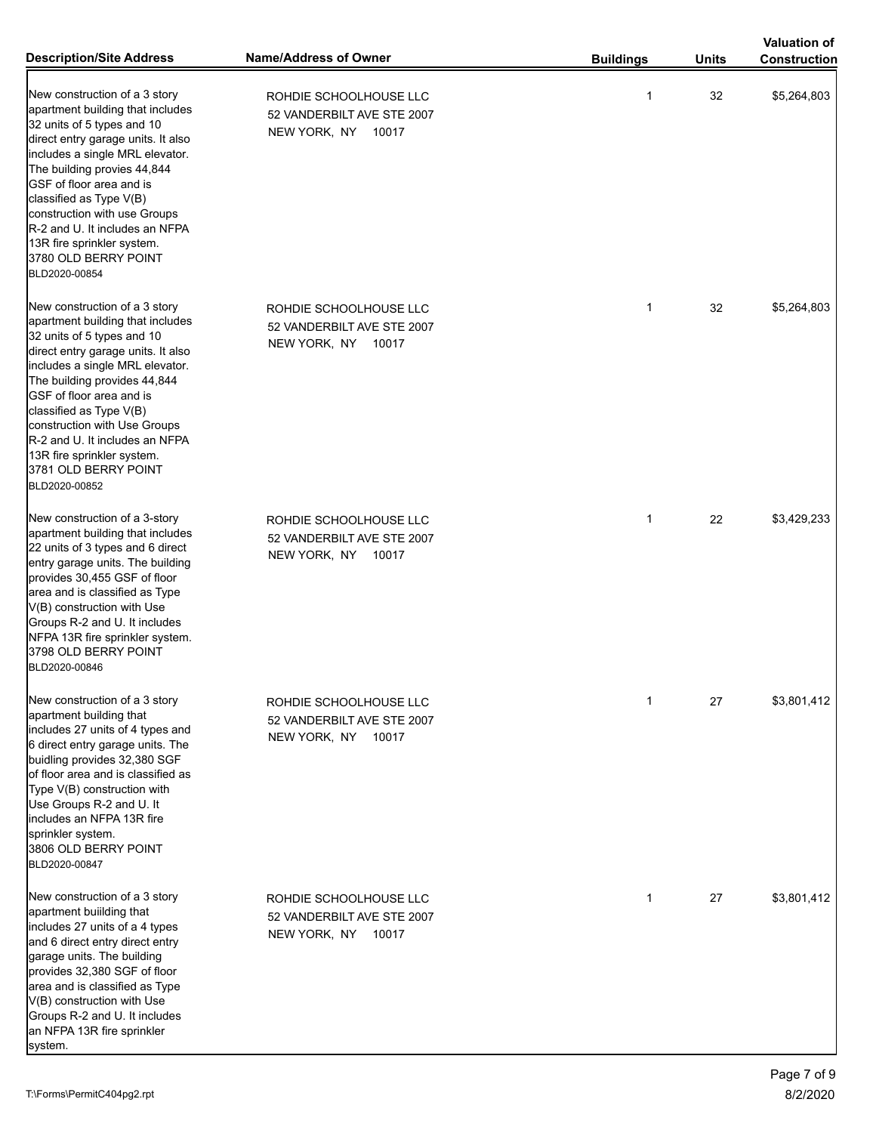|                                                                                                                                                                                                                                                                                                                                                                                                          | <b>Name/Address of Owner</b>                                               |                  |              | <b>Valuation of</b> |
|----------------------------------------------------------------------------------------------------------------------------------------------------------------------------------------------------------------------------------------------------------------------------------------------------------------------------------------------------------------------------------------------------------|----------------------------------------------------------------------------|------------------|--------------|---------------------|
| <b>Description/Site Address</b>                                                                                                                                                                                                                                                                                                                                                                          |                                                                            | <b>Buildings</b> | <b>Units</b> | <b>Construction</b> |
| New construction of a 3 story<br>apartment building that includes<br>32 units of 5 types and 10<br>direct entry garage units. It also<br>includes a single MRL elevator.<br>The building provies 44,844<br>GSF of floor area and is<br>classified as Type V(B)<br>construction with use Groups<br>R-2 and U. It includes an NFPA<br>13R fire sprinkler system.<br>3780 OLD BERRY POINT<br>BLD2020-00854  | ROHDIE SCHOOLHOUSE LLC<br>52 VANDERBILT AVE STE 2007<br>NEW YORK, NY 10017 | 1                | 32           | \$5,264,803         |
| New construction of a 3 story<br>apartment building that includes<br>32 units of 5 types and 10<br>direct entry garage units. It also<br>includes a single MRL elevator.<br>The building provides 44,844<br>GSF of floor area and is<br>classified as Type V(B)<br>construction with Use Groups<br>R-2 and U. It includes an NFPA<br>13R fire sprinkler system.<br>3781 OLD BERRY POINT<br>BLD2020-00852 | ROHDIE SCHOOLHOUSE LLC<br>52 VANDERBILT AVE STE 2007<br>NEW YORK, NY 10017 | $\mathbf{1}$     | 32           | \$5,264,803         |
| New construction of a 3-story<br>apartment building that includes<br>22 units of 3 types and 6 direct<br>entry garage units. The building<br>provides 30,455 GSF of floor<br>area and is classified as Type<br>V(B) construction with Use<br>Groups R-2 and U. It includes<br>NFPA 13R fire sprinkler system.<br>3798 OLD BERRY POINT<br>BLD2020-00846                                                   | ROHDIE SCHOOLHOUSE LLC<br>52 VANDERBILT AVE STE 2007<br>NEW YORK, NY 10017 | $\mathbf{1}$     | 22           | \$3,429,233         |
| New construction of a 3 story<br>apartment building that<br>includes 27 units of 4 types and<br>6 direct entry garage units. The<br>buidling provides 32,380 SGF<br>of floor area and is classified as<br>Type V(B) construction with<br>Use Groups R-2 and U. It<br>includes an NFPA 13R fire<br>sprinkler system.<br>3806 OLD BERRY POINT<br>BLD2020-00847                                             | ROHDIE SCHOOLHOUSE LLC<br>52 VANDERBILT AVE STE 2007<br>NEW YORK, NY 10017 | 1                | 27           | \$3,801,412         |
| New construction of a 3 story<br>apartment building that<br>includes 27 units of a 4 types<br>and 6 direct entry direct entry<br>garage units. The building<br>provides 32,380 SGF of floor<br>area and is classified as Type<br>V(B) construction with Use<br>Groups R-2 and U. It includes<br>an NFPA 13R fire sprinkler                                                                               | ROHDIE SCHOOLHOUSE LLC<br>52 VANDERBILT AVE STE 2007<br>NEW YORK, NY 10017 | $\mathbf{1}$     | 27           | \$3,801,412         |

system.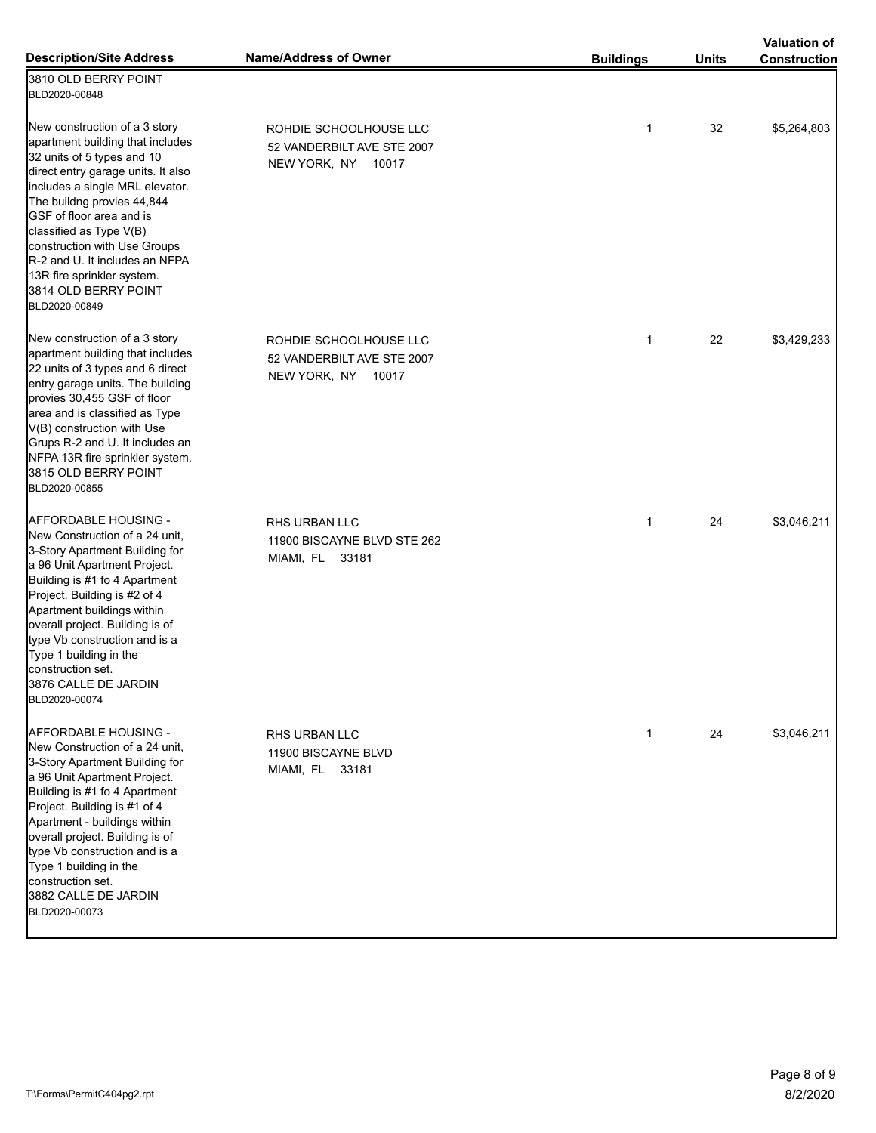|                                                                                                                                                                                                                                                                                                                                                                                                        |                                                                            |                  |              | <b>Valuation of</b> |
|--------------------------------------------------------------------------------------------------------------------------------------------------------------------------------------------------------------------------------------------------------------------------------------------------------------------------------------------------------------------------------------------------------|----------------------------------------------------------------------------|------------------|--------------|---------------------|
| <b>Description/Site Address</b>                                                                                                                                                                                                                                                                                                                                                                        | <b>Name/Address of Owner</b>                                               | <b>Buildings</b> | <b>Units</b> | <b>Construction</b> |
| 3810 OLD BERRY POINT<br>BLD2020-00848                                                                                                                                                                                                                                                                                                                                                                  |                                                                            |                  |              |                     |
| New construction of a 3 story<br>apartment building that includes<br>32 units of 5 types and 10<br>direct entry garage units. It also<br>includes a single MRL elevator.<br>The buildng provies 44,844<br>GSF of floor area and is<br>classified as Type V(B)<br>construction with Use Groups<br>R-2 and U. It includes an NFPA<br>13R fire sprinkler system.<br>3814 OLD BERRY POINT<br>BLD2020-00849 | ROHDIE SCHOOLHOUSE LLC<br>52 VANDERBILT AVE STE 2007<br>NEW YORK, NY 10017 | $\mathbf{1}$     | 32           | \$5,264,803         |
| New construction of a 3 story<br>apartment building that includes<br>22 units of 3 types and 6 direct<br>entry garage units. The building<br>provies 30,455 GSF of floor<br>area and is classified as Type<br>V(B) construction with Use<br>Grups R-2 and U. It includes an<br>NFPA 13R fire sprinkler system.<br>3815 OLD BERRY POINT<br>BLD2020-00855                                                | ROHDIE SCHOOLHOUSE LLC<br>52 VANDERBILT AVE STE 2007<br>NEW YORK, NY 10017 | $\mathbf{1}$     | 22           | \$3,429,233         |
| AFFORDABLE HOUSING -<br>New Construction of a 24 unit,<br>3-Story Apartment Building for<br>a 96 Unit Apartment Project.<br>Building is #1 fo 4 Apartment<br>Project. Building is #2 of 4<br>Apartment buildings within<br>overall project. Building is of<br>type Vb construction and is a<br>Type 1 building in the<br>construction set.<br>3876 CALLE DE JARDIN<br>BLD2020-00074                    | RHS URBAN LLC<br>11900 BISCAYNE BLVD STE 262<br>MIAMI, FL 33181            | $\mathbf{1}$     | 24           | \$3,046,211         |
| AFFORDABLE HOUSING -<br>New Construction of a 24 unit.<br>3-Story Apartment Building for<br>a 96 Unit Apartment Project.<br>Building is #1 fo 4 Apartment<br>Project. Building is #1 of 4<br>Apartment - buildings within<br>overall project. Building is of<br>type Vb construction and is a<br>Type 1 building in the<br>construction set.<br>3882 CALLE DE JARDIN<br>BLD2020-00073                  | RHS URBAN LLC<br>11900 BISCAYNE BLVD<br>MIAMI, FL 33181                    | $\mathbf{1}$     | 24           | \$3,046,211         |